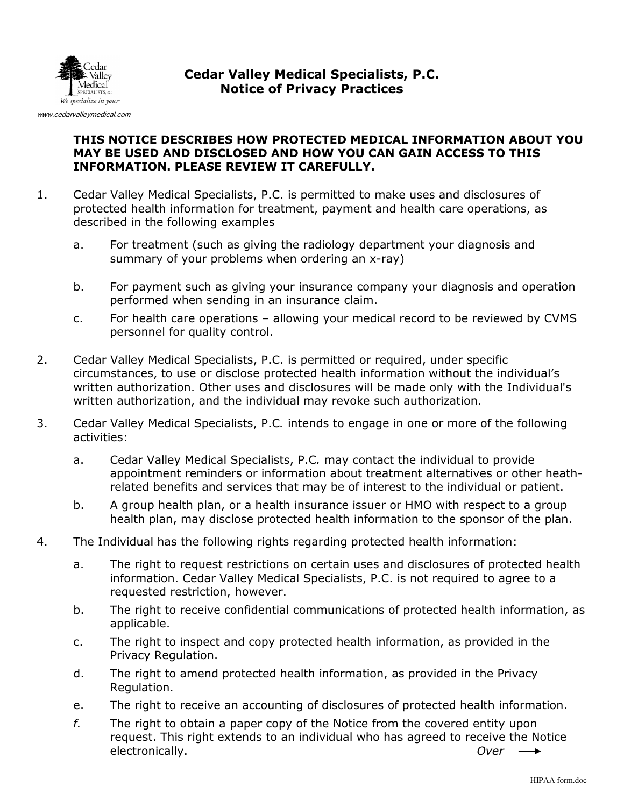

## Cedar Valley Medical Specialists, P.C. Notice of Privacy Practices

## THIS NOTICE DESCRIBES HOW PROTECTED MEDICAL INFORMATION ABOUT YOU MAY BE USED AND DISCLOSED AND HOW YOU CAN GAIN ACCESS TO THIS INFORMATION. PLEASE REVIEW IT CAREFULLY.

- 1. Cedar Valley Medical Specialists, P.C. is permitted to make uses and disclosures of protected health information for treatment, payment and health care operations, as described in the following examples
	- a. For treatment (such as giving the radiology department your diagnosis and summary of your problems when ordering an x-ray)
	- b. For payment such as giving your insurance company your diagnosis and operation performed when sending in an insurance claim.
	- c. For health care operations allowing your medical record to be reviewed by CVMS personnel for quality control.
- 2. Cedar Valley Medical Specialists, P.C. is permitted or required, under specific circumstances, to use or disclose protected health information without the individual's written authorization. Other uses and disclosures will be made only with the Individual's written authorization, and the individual may revoke such authorization.
- 3. Cedar Valley Medical Specialists, P.C. intends to engage in one or more of the following activities:
	- a. Cedar Valley Medical Specialists, P.C. may contact the individual to provide appointment reminders or information about treatment alternatives or other heathrelated benefits and services that may be of interest to the individual or patient.
	- b. A group health plan, or a health insurance issuer or HMO with respect to a group health plan, may disclose protected health information to the sponsor of the plan.
- 4. The Individual has the following rights regarding protected health information:
	- a. The right to request restrictions on certain uses and disclosures of protected health information. Cedar Valley Medical Specialists, P.C. is not required to agree to a requested restriction, however.
	- b. The right to receive confidential communications of protected health information, as applicable.
	- c. The right to inspect and copy protected health information, as provided in the Privacy Regulation.
	- d. The right to amend protected health information, as provided in the Privacy Regulation.
	- e. The right to receive an accounting of disclosures of protected health information.
	- $f.$  The right to obtain a paper copy of the Notice from the covered entity upon request. This right extends to an individual who has agreed to receive the Notice electronically. **Over**